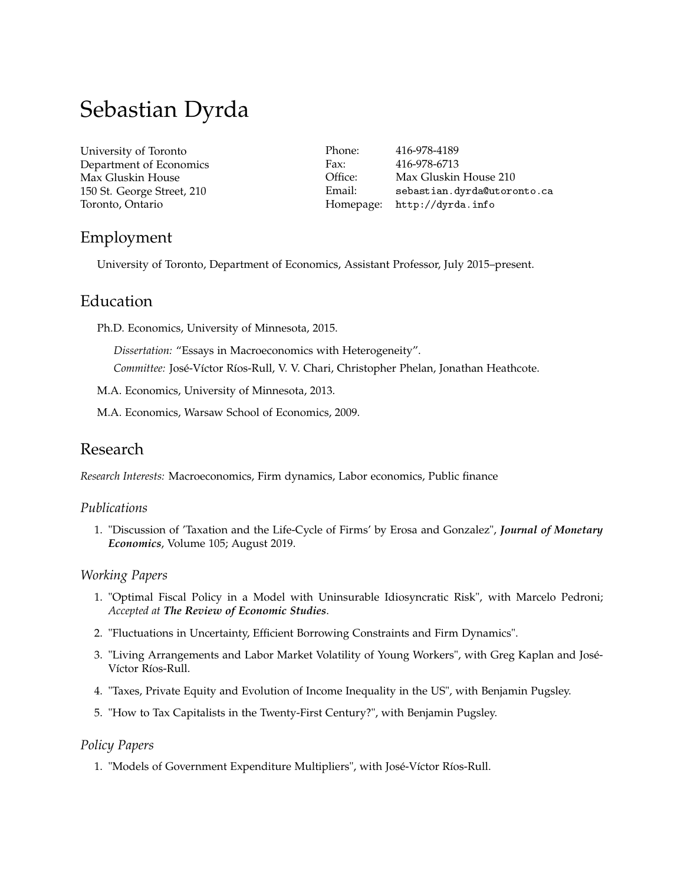# Sebastian Dyrda

[University of Toronto](http://www.utoronto.ca/) Department of Economics Max Gluskin House 150 St. George Street, 210 Toronto, Ontario

Phone: 416-978-4189 Fax: 416-978-6713 Office: Max Gluskin House 210 Email: [sebastian.dyrda@utoronto.ca](mailto:sebastian.dyrda@utoronto.ca) Homepage: <http://dyrda.info>

# Employment

University of Toronto, Department of Economics, Assistant Professor, July 2015–present.

# Education

Ph.D. Economics, University of Minnesota, 2015.

*Dissertation:* "Essays in Macroeconomics with Heterogeneity". *Committee:* José-Víctor Ríos-Rull, V. V. Chari, Christopher Phelan, Jonathan Heathcote.

M.A. Economics, University of Minnesota, 2013.

M.A. Economics, Warsaw School of Economics, 2009.

# Research

*Research Interests:* Macroeconomics, Firm dynamics, Labor economics, Public finance

#### *Publications*

1. "Discussion of 'Taxation and the Life-Cycle of Firms' by Erosa and Gonzalez", *Journal of Monetary Economics*, Volume 105; August 2019.

#### *Working Papers*

- 1. "Optimal Fiscal Policy in a Model with Uninsurable Idiosyncratic Risk", with Marcelo Pedroni; *Accepted at The Review of Economic Studies*.
- 2. "Fluctuations in Uncertainty, Efficient Borrowing Constraints and Firm Dynamics".
- 3. "Living Arrangements and Labor Market Volatility of Young Workers", with Greg Kaplan and José-Víctor Ríos-Rull.
- 4. "Taxes, Private Equity and Evolution of Income Inequality in the US", with Benjamin Pugsley.
- 5. "How to Tax Capitalists in the Twenty-First Century?", with Benjamin Pugsley.

#### *Policy Papers*

1. "Models of Government Expenditure Multipliers", with José-Víctor Ríos-Rull.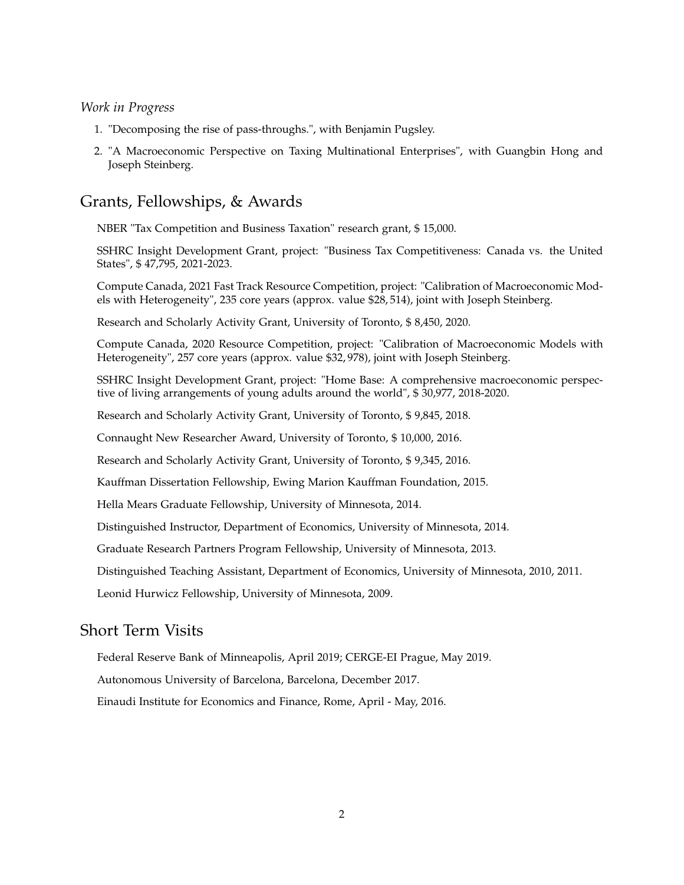#### *Work in Progress*

- 1. "Decomposing the rise of pass-throughs.", with Benjamin Pugsley.
- 2. "A Macroeconomic Perspective on Taxing Multinational Enterprises", with Guangbin Hong and Joseph Steinberg.

## Grants, Fellowships, & Awards

NBER "Tax Competition and Business Taxation" research grant, \$ 15,000.

SSHRC Insight Development Grant, project: "Business Tax Competitiveness: Canada vs. the United States", \$ 47,795, 2021-2023.

Compute Canada, 2021 Fast Track Resource Competition, project: "Calibration of Macroeconomic Models with Heterogeneity", 235 core years (approx. value \$28, 514), joint with Joseph Steinberg.

Research and Scholarly Activity Grant, University of Toronto, \$ 8,450, 2020.

Compute Canada, 2020 Resource Competition, project: "Calibration of Macroeconomic Models with Heterogeneity", 257 core years (approx. value \$32, 978), joint with Joseph Steinberg.

SSHRC Insight Development Grant, project: "Home Base: A comprehensive macroeconomic perspective of living arrangements of young adults around the world", \$ 30,977, 2018-2020.

Research and Scholarly Activity Grant, University of Toronto, \$ 9,845, 2018.

Connaught New Researcher Award, University of Toronto, \$ 10,000, 2016.

Research and Scholarly Activity Grant, University of Toronto, \$ 9,345, 2016.

Kauffman Dissertation Fellowship, Ewing Marion Kauffman Foundation, 2015.

Hella Mears Graduate Fellowship, University of Minnesota, 2014.

Distinguished Instructor, Department of Economics, University of Minnesota, 2014.

Graduate Research Partners Program Fellowship, University of Minnesota, 2013.

Distinguished Teaching Assistant, Department of Economics, University of Minnesota, 2010, 2011.

Leonid Hurwicz Fellowship, University of Minnesota, 2009.

## Short Term Visits

Federal Reserve Bank of Minneapolis, April 2019; CERGE-EI Prague, May 2019.

Autonomous University of Barcelona, Barcelona, December 2017.

Einaudi Institute for Economics and Finance, Rome, April - May, 2016.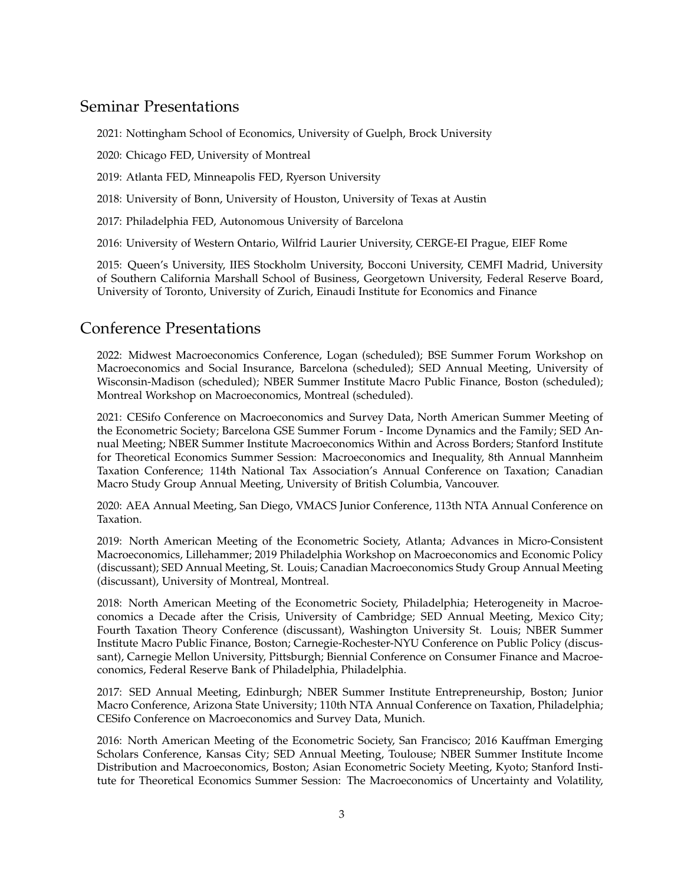# Seminar Presentations

2021: Nottingham School of Economics, University of Guelph, Brock University

2020: Chicago FED, University of Montreal

2019: Atlanta FED, Minneapolis FED, Ryerson University

2018: University of Bonn, University of Houston, University of Texas at Austin

2017: Philadelphia FED, Autonomous University of Barcelona

2016: University of Western Ontario, Wilfrid Laurier University, CERGE-EI Prague, EIEF Rome

2015: Queen's University, IIES Stockholm University, Bocconi University, CEMFI Madrid, University of Southern California Marshall School of Business, Georgetown University, Federal Reserve Board, University of Toronto, University of Zurich, Einaudi Institute for Economics and Finance

# Conference Presentations

2022: Midwest Macroeconomics Conference, Logan (scheduled); BSE Summer Forum Workshop on Macroeconomics and Social Insurance, Barcelona (scheduled); SED Annual Meeting, University of Wisconsin-Madison (scheduled); NBER Summer Institute Macro Public Finance, Boston (scheduled); Montreal Workshop on Macroeconomics, Montreal (scheduled).

2021: CESifo Conference on Macroeconomics and Survey Data, North American Summer Meeting of the Econometric Society; Barcelona GSE Summer Forum - Income Dynamics and the Family; SED Annual Meeting; NBER Summer Institute Macroeconomics Within and Across Borders; Stanford Institute for Theoretical Economics Summer Session: Macroeconomics and Inequality, 8th Annual Mannheim Taxation Conference; 114th National Tax Association's Annual Conference on Taxation; Canadian Macro Study Group Annual Meeting, University of British Columbia, Vancouver.

2020: AEA Annual Meeting, San Diego, VMACS Junior Conference, 113th NTA Annual Conference on Taxation.

2019: North American Meeting of the Econometric Society, Atlanta; Advances in Micro-Consistent Macroeconomics, Lillehammer; 2019 Philadelphia Workshop on Macroeconomics and Economic Policy (discussant); SED Annual Meeting, St. Louis; Canadian Macroeconomics Study Group Annual Meeting (discussant), University of Montreal, Montreal.

2018: North American Meeting of the Econometric Society, Philadelphia; Heterogeneity in Macroeconomics a Decade after the Crisis, University of Cambridge; SED Annual Meeting, Mexico City; Fourth Taxation Theory Conference (discussant), Washington University St. Louis; NBER Summer Institute Macro Public Finance, Boston; Carnegie-Rochester-NYU Conference on Public Policy (discussant), Carnegie Mellon University, Pittsburgh; Biennial Conference on Consumer Finance and Macroeconomics, Federal Reserve Bank of Philadelphia, Philadelphia.

2017: SED Annual Meeting, Edinburgh; NBER Summer Institute Entrepreneurship, Boston; Junior Macro Conference, Arizona State University; 110th NTA Annual Conference on Taxation, Philadelphia; CESifo Conference on Macroeconomics and Survey Data, Munich.

2016: North American Meeting of the Econometric Society, San Francisco; 2016 Kauffman Emerging Scholars Conference, Kansas City; SED Annual Meeting, Toulouse; NBER Summer Institute Income Distribution and Macroeconomics, Boston; Asian Econometric Society Meeting, Kyoto; Stanford Institute for Theoretical Economics Summer Session: The Macroeconomics of Uncertainty and Volatility,